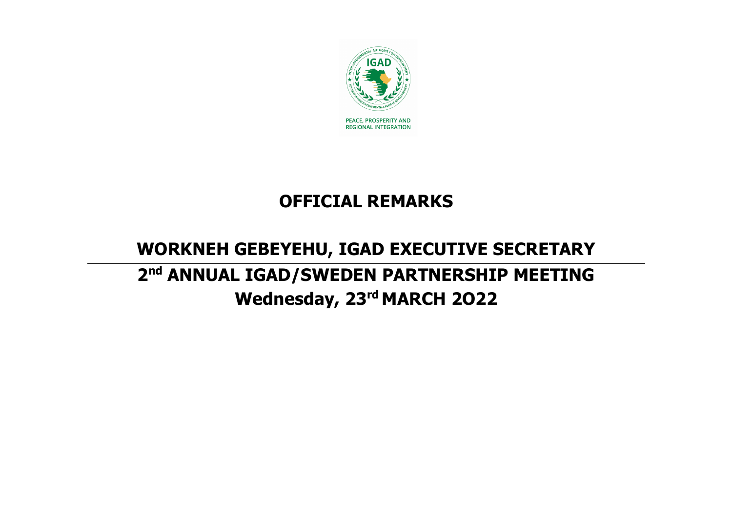

## **OFFICIAL REMARKS**

## **WORKNEH GEBEYEHU, IGAD EXECUTIVE SECRETARY 2nd ANNUAL IGAD/SWEDEN PARTNERSHIP MEETING Wednesday, 23rd MARCH 2O22**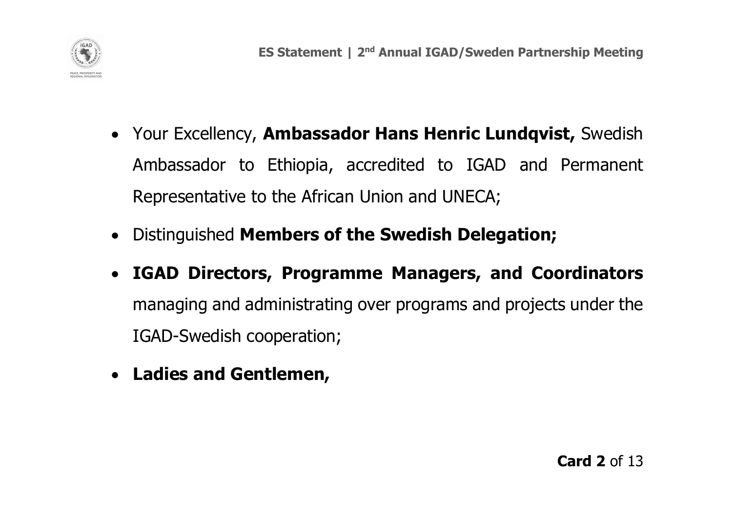

- Your Excellency, **Ambassador Hans Henric Lundqvist,** Swedish Ambassador to Ethiopia, accredited to IGAD and Permanent Representative to the African Union and UNECA;
- Distinguished **Members of the Swedish Delegation;**
- **IGAD Directors, Programme Managers, and Coordinators**  managing and administrating over programs and projects under the IGAD-Swedish cooperation;
- **Ladies and Gentlemen,**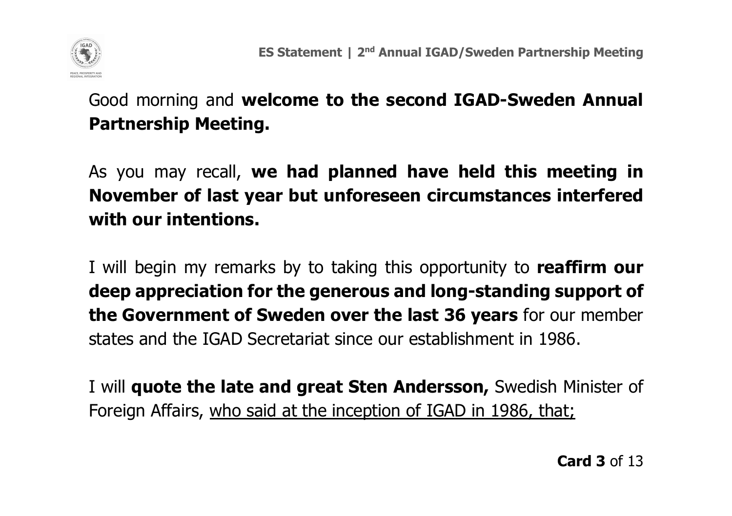

Good morning and **welcome to the second IGAD-Sweden Annual Partnership Meeting.** 

As you may recall, **we had planned have held this meeting in November of last year but unforeseen circumstances interfered with our intentions.**

I will begin my remarks by to taking this opportunity to **reaffirm our deep appreciation for the generous and long-standing support of the Government of Sweden over the last 36 years** for our member states and the IGAD Secretariat since our establishment in 1986.

I will **quote the late and great Sten Andersson,** Swedish Minister of Foreign Affairs, who said at the inception of IGAD in 1986, that;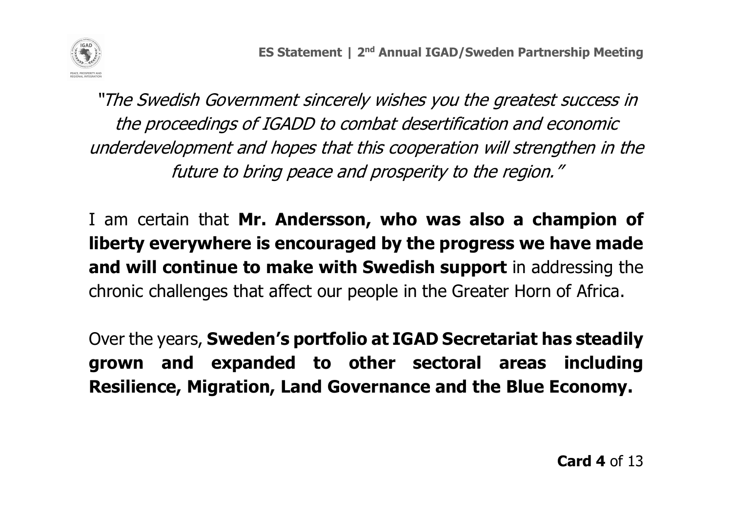

"The Swedish Government sincerely wishes you the greatest success in the proceedings of IGADD to combat desertification and economic underdevelopment and hopes that this cooperation will strengthen in the future to bring peace and prosperity to the region."

I am certain that **Mr. Andersson, who was also a champion of liberty everywhere is encouraged by the progress we have made and will continue to make with Swedish support** in addressing the chronic challenges that affect our people in the Greater Horn of Africa.

Over the years, **Sweden's portfolio at IGAD Secretariat has steadily grown and expanded to other sectoral areas including Resilience, Migration, Land Governance and the Blue Economy.**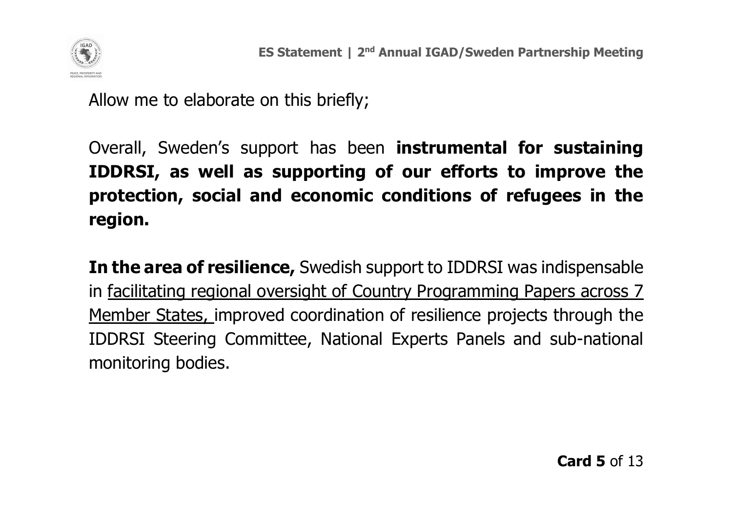

Allow me to elaborate on this briefly;

Overall, Sweden's support has been **instrumental for sustaining IDDRSI, as well as supporting of our efforts to improve the protection, social and economic conditions of refugees in the region.**

**In the area of resilience,** Swedish support to IDDRSI was indispensable in facilitating regional oversight of Country Programming Papers across 7 Member States, improved coordination of resilience projects through the IDDRSI Steering Committee, National Experts Panels and sub-national monitoring bodies.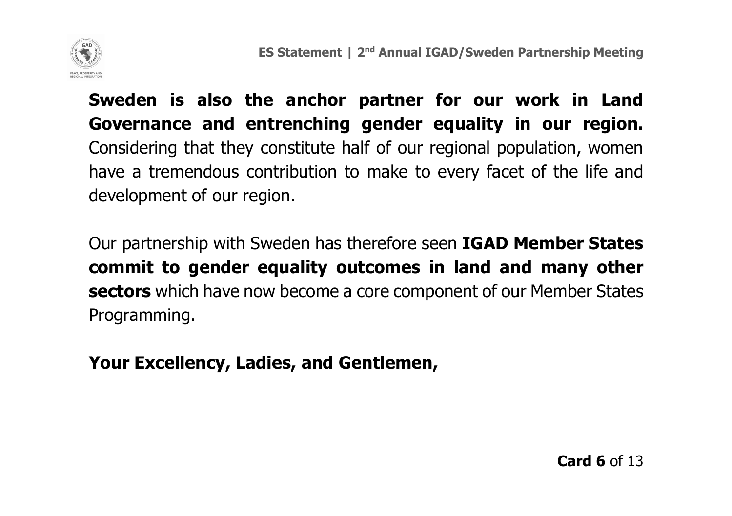

**Sweden is also the anchor partner for our work in Land Governance and entrenching gender equality in our region.** Considering that they constitute half of our regional population, women have a tremendous contribution to make to every facet of the life and development of our region.

Our partnership with Sweden has therefore seen **IGAD Member States commit to gender equality outcomes in land and many other sectors** which have now become a core component of our Member States Programming.

**Your Excellency, Ladies, and Gentlemen,**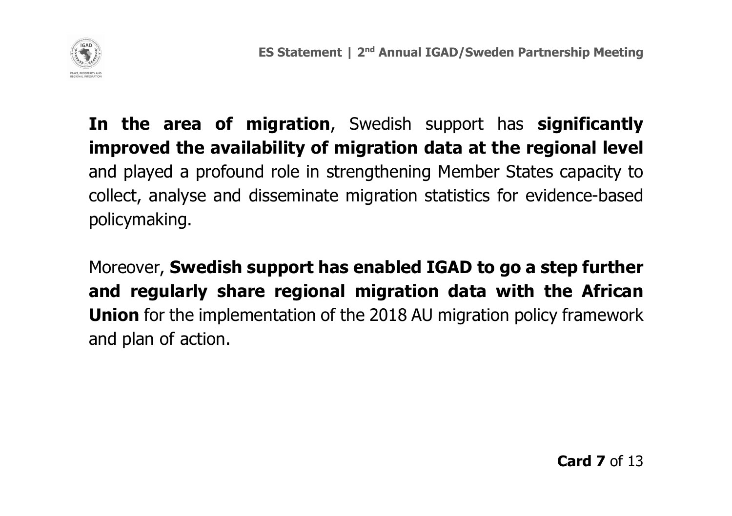

**In the area of migration**, Swedish support has **significantly improved the availability of migration data at the regional level** and played a profound role in strengthening Member States capacity to collect, analyse and disseminate migration statistics for evidence-based policymaking.

Moreover, **Swedish support has enabled IGAD to go a step further and regularly share regional migration data with the African Union** for the implementation of the 2018 AU migration policy framework and plan of action.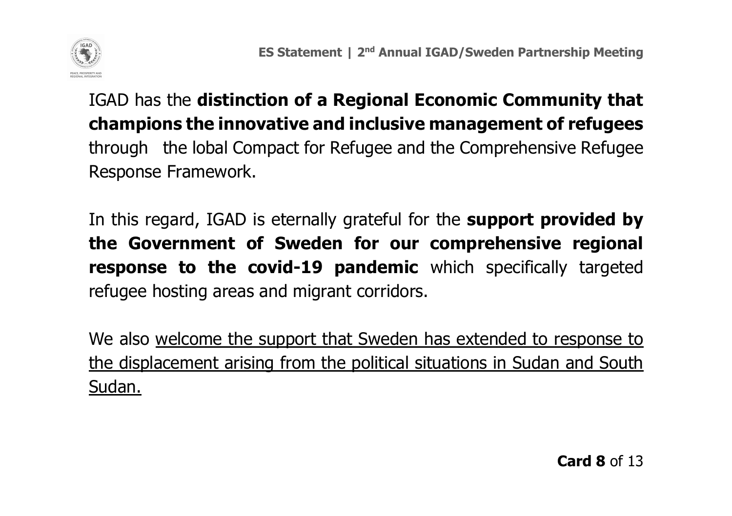

IGAD has the **distinction of a Regional Economic Community that champions the innovative and inclusive management of refugees** through the lobal Compact for Refugee and the Comprehensive Refugee Response Framework.

In this regard, IGAD is eternally grateful for the **support provided by the Government of Sweden for our comprehensive regional response to the covid-19 pandemic** which specifically targeted refugee hosting areas and migrant corridors.

We also welcome the support that Sweden has extended to response to the displacement arising from the political situations in Sudan and South Sudan.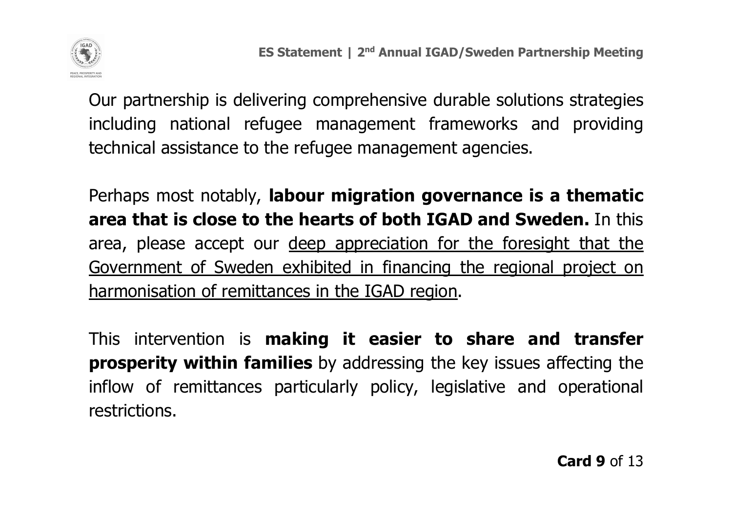

Our partnership is delivering comprehensive durable solutions strategies including national refugee management frameworks and providing technical assistance to the refugee management agencies.

Perhaps most notably, **labour migration governance is a thematic area that is close to the hearts of both IGAD and Sweden.** In this area, please accept our deep appreciation for the foresight that the Government of Sweden exhibited in financing the regional project on harmonisation of remittances in the IGAD region.

This intervention is **making it easier to share and transfer prosperity within families** by addressing the key issues affecting the inflow of remittances particularly policy, legislative and operational restrictions.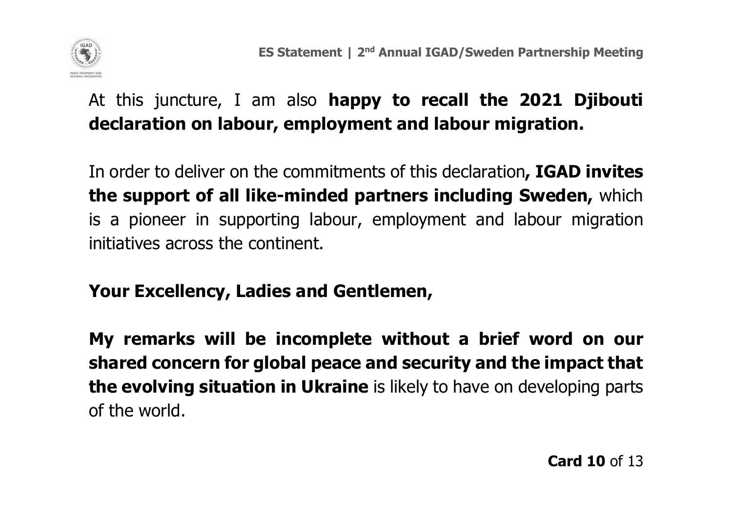

## At this juncture, I am also **happy to recall the 2021 Djibouti declaration on labour, employment and labour migration.**

In order to deliver on the commitments of this declaration**, IGAD invites the support of all like-minded partners including Sweden,** which is a pioneer in supporting labour, employment and labour migration initiatives across the continent.

## **Your Excellency, Ladies and Gentlemen,**

**My remarks will be incomplete without a brief word on our shared concern for global peace and security and the impact that the evolving situation in Ukraine** is likely to have on developing parts of the world.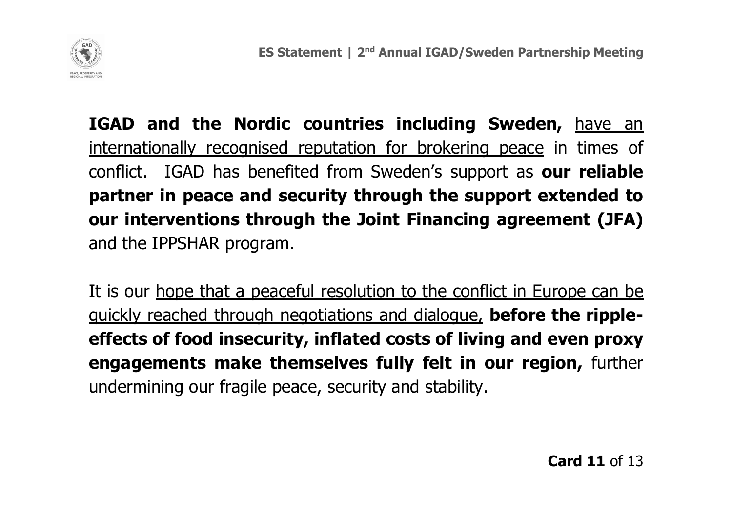

**IGAD and the Nordic countries including Sweden,** have an internationally recognised reputation for brokering peace in times of conflict. IGAD has benefited from Sweden's support as **our reliable partner in peace and security through the support extended to our interventions through the Joint Financing agreement (JFA)** and the IPPSHAR program.

It is our hope that a peaceful resolution to the conflict in Europe can be quickly reached through negotiations and dialogue, **before the rippleeffects of food insecurity, inflated costs of living and even proxy engagements make themselves fully felt in our region,** further undermining our fragile peace, security and stability.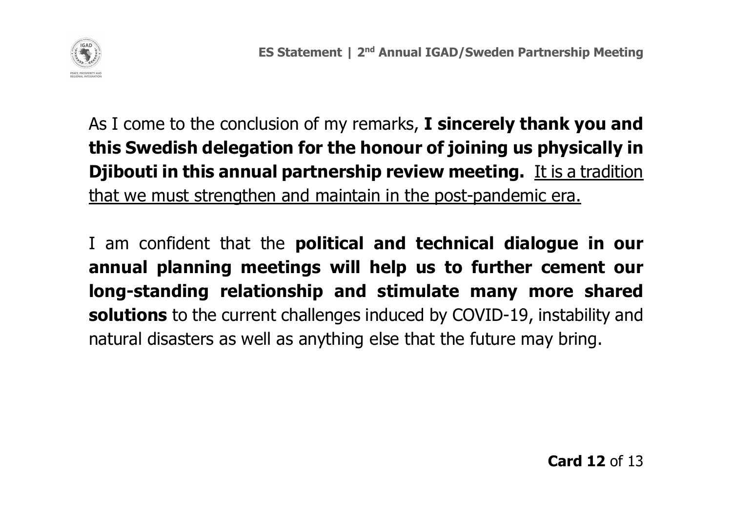

As I come to the conclusion of my remarks, **I sincerely thank you and this Swedish delegation for the honour of joining us physically in Djibouti in this annual partnership review meeting.** It is a tradition that we must strengthen and maintain in the post-pandemic era.

I am confident that the **political and technical dialogue in our annual planning meetings will help us to further cement our long-standing relationship and stimulate many more shared solutions** to the current challenges induced by COVID-19, instability and natural disasters as well as anything else that the future may bring.